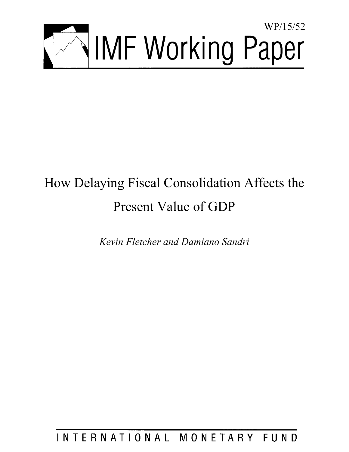

# How Delaying Fiscal Consolidation Affects the Present Value of GDP

*Kevin Fletcher and Damiano Sandri* 

INTERNATIONAL MONETARY FUND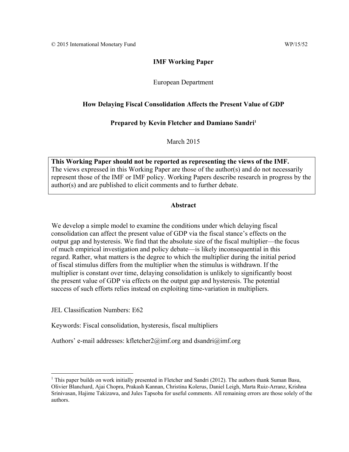## **IMF Working Paper**

## European Department

## **How Delaying Fiscal Consolidation Affects the Present Value of GDP**

## Prepared by Kevin Fletcher and Damiano Sandri<sup>1</sup>

March 2015

**This Working Paper should not be reported as representing the views of the IMF.**  The views expressed in this Working Paper are those of the author(s) and do not necessarily represent those of the IMF or IMF policy. Working Papers describe research in progress by the author(s) and are published to elicit comments and to further debate.

## **Abstract**

We develop a simple model to examine the conditions under which delaying fiscal consolidation can affect the present value of GDP via the fiscal stance's effects on the output gap and hysteresis. We find that the absolute size of the fiscal multiplier—the focus of much empirical investigation and policy debate—is likely inconsequential in this regard. Rather, what matters is the degree to which the multiplier during the initial period of fiscal stimulus differs from the multiplier when the stimulus is withdrawn. If the multiplier is constant over time, delaying consolidation is unlikely to significantly boost the present value of GDP via effects on the output gap and hysteresis. The potential success of such efforts relies instead on exploiting time-variation in multipliers.

JEL Classification Numbers: E62

Keywords: Fiscal consolidation, hysteresis, fiscal multipliers

Authors' e-mail addresses: kfletcher2@imf.org and dsandri@imf.org

<sup>&</sup>lt;sup>1</sup> This paper builds on work initially presented in Fletcher and Sandri (2012). The authors thank Suman Basu, Olivier Blanchard, Ajai Chopra, Prakash Kannan, Christina Kolerus, Daniel Leigh, Marta Ruiz-Arranz, Krishna Srinivasan, Hajime Takizawa, and Jules Tapsoba for useful comments. All remaining errors are those solely of the authors.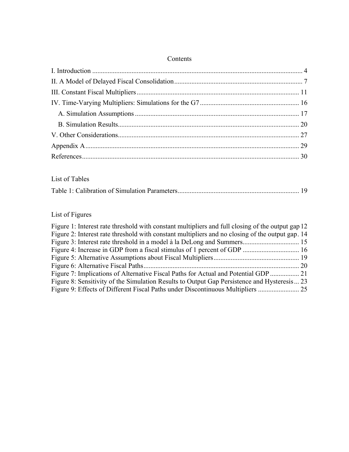| Contents |
|----------|
|----------|

## List of Tables

|--|--|--|--|--|

# List of Figures

| Figure 1: Interest rate threshold with constant multipliers and full closing of the output gap 12 |  |
|---------------------------------------------------------------------------------------------------|--|
| Figure 2: Interest rate threshold with constant multipliers and no closing of the output gap. 14  |  |
|                                                                                                   |  |
|                                                                                                   |  |
|                                                                                                   |  |
|                                                                                                   |  |
|                                                                                                   |  |
| Figure 8: Sensitivity of the Simulation Results to Output Gap Persistence and Hysteresis 23       |  |
|                                                                                                   |  |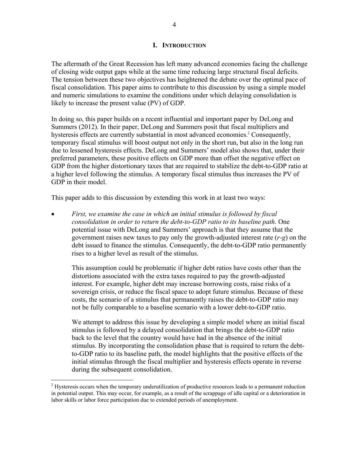#### **I. INTRODUCTION**

The aftermath of the Great Recession has left many advanced economies facing the challenge of closing wide output gaps while at the same time reducing large structural fiscal deficits. The tension between these two objectives has heightened the debate over the optimal pace of fiscal consolidation. This paper aims to contribute to this discussion by using a simple model and numeric simulations to examine the conditions under which delaying consolidation is likely to increase the present value (PV) of GDP.

In doing so, this paper builds on a recent influential and important paper by DeLong and Summers (2012). In their paper, DeLong and Summers posit that fiscal multipliers and hysteresis effects are currently substantial in most advanced economies.<sup>2</sup> Consequently, temporary fiscal stimulus will boost output not only in the short run, but also in the long run due to lessened hysteresis effects. DeLong and Summers' model also shows that, under their preferred parameters, these positive effects on GDP more than offset the negative effect on GDP from the higher distortionary taxes that are required to stabilize the debt-to-GDP ratio at a higher level following the stimulus. A temporary fiscal stimulus thus increases the PV of GDP in their model.

This paper adds to this discussion by extending this work in at least two ways:

 *First, we examine the case in which an initial stimulus is followed by fiscal consolidation in order to return the debt-to-GDP ratio to its baseline path*. One potential issue with DeLong and Summers' approach is that they assume that the government raises new taxes to pay only the growth-adjusted interest rate (*r-g*) on the debt issued to finance the stimulus. Consequently, the debt-to-GDP ratio permanently rises to a higher level as result of the stimulus.

This assumption could be problematic if higher debt ratios have costs other than the distortions associated with the extra taxes required to pay the growth-adjusted interest. For example, higher debt may increase borrowing costs, raise risks of a sovereign crisis, or reduce the fiscal space to adopt future stimulus. Because of these costs, the scenario of a stimulus that permanently raises the debt-to-GDP ratio may not be fully comparable to a baseline scenario with a lower debt-to-GDP ratio.

We attempt to address this issue by developing a simple model where an initial fiscal stimulus is followed by a delayed consolidation that brings the debt-to-GDP ratio back to the level that the country would have had in the absence of the initial stimulus. By incorporating the consolidation phase that is required to return the debtto-GDP ratio to its baseline path, the model highlights that the positive effects of the initial stimulus through the fiscal multiplier and hysteresis effects operate in reverse during the subsequent consolidation.

 $2$  Hysteresis occurs when the temporary underutilization of productive resources leads to a permanent reduction in potential output. This may occur, for example, as a result of the scrappage of idle capital or a deterioration in labor skills or labor force participation due to extended periods of unemployment.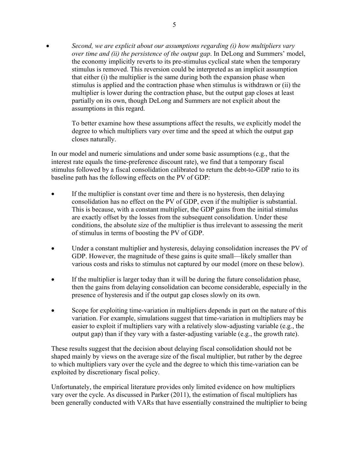*Second, we are explicit about our assumptions regarding (i) how multipliers vary over time and (ii) the persistence of the output gap*. In DeLong and Summers' model, the economy implicitly reverts to its pre-stimulus cyclical state when the temporary stimulus is removed. This reversion could be interpreted as an implicit assumption that either (i) the multiplier is the same during both the expansion phase when stimulus is applied and the contraction phase when stimulus is withdrawn or (ii) the multiplier is lower during the contraction phase, but the output gap closes at least partially on its own, though DeLong and Summers are not explicit about the assumptions in this regard.

To better examine how these assumptions affect the results, we explicitly model the degree to which multipliers vary over time and the speed at which the output gap closes naturally.

In our model and numeric simulations and under some basic assumptions (e.g., that the interest rate equals the time-preference discount rate), we find that a temporary fiscal stimulus followed by a fiscal consolidation calibrated to return the debt-to-GDP ratio to its baseline path has the following effects on the PV of GDP:

- If the multiplier is constant over time and there is no hysteresis, then delaying consolidation has no effect on the PV of GDP, even if the multiplier is substantial. This is because, with a constant multiplier, the GDP gains from the initial stimulus are exactly offset by the losses from the subsequent consolidation. Under these conditions, the absolute size of the multiplier is thus irrelevant to assessing the merit of stimulus in terms of boosting the PV of GDP.
- Under a constant multiplier and hysteresis, delaying consolidation increases the PV of GDP. However, the magnitude of these gains is quite small—likely smaller than various costs and risks to stimulus not captured by our model (more on these below).
- If the multiplier is larger today than it will be during the future consolidation phase, then the gains from delaying consolidation can become considerable, especially in the presence of hysteresis and if the output gap closes slowly on its own.
- Scope for exploiting time-variation in multipliers depends in part on the nature of this variation. For example, simulations suggest that time-variation in multipliers may be easier to exploit if multipliers vary with a relatively slow-adjusting variable (e.g., the output gap) than if they vary with a faster-adjusting variable (e.g., the growth rate).

These results suggest that the decision about delaying fiscal consolidation should not be shaped mainly by views on the average size of the fiscal multiplier, but rather by the degree to which multipliers vary over the cycle and the degree to which this time-variation can be exploited by discretionary fiscal policy.

Unfortunately, the empirical literature provides only limited evidence on how multipliers vary over the cycle. As discussed in Parker (2011), the estimation of fiscal multipliers has been generally conducted with VARs that have essentially constrained the multiplier to being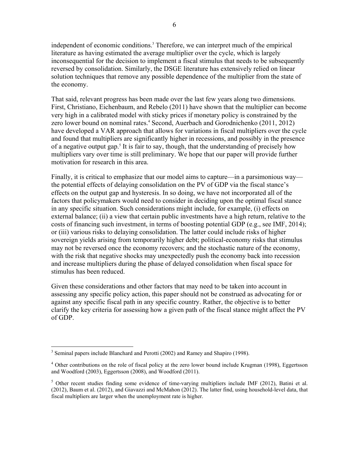independent of economic conditions.<sup>3</sup> Therefore, we can interpret much of the empirical literature as having estimated the average multiplier over the cycle, which is largely inconsequential for the decision to implement a fiscal stimulus that needs to be subsequently reversed by consolidation. Similarly, the DSGE literature has extensively relied on linear solution techniques that remove any possible dependence of the multiplier from the state of the economy.

That said, relevant progress has been made over the last few years along two dimensions. First, Christiano, Eichenbaum, and Rebelo (2011) have shown that the multiplier can become very high in a calibrated model with sticky prices if monetary policy is constrained by the zero lower bound on nominal rates.<sup>4</sup> Second, Auerbach and Gorodnichenko (2011, 2012) have developed a VAR approach that allows for variations in fiscal multipliers over the cycle and found that multipliers are significantly higher in recessions, and possibly in the presence of a negative output gap.<sup>5</sup> It is fair to say, though, that the understanding of precisely how multipliers vary over time is still preliminary. We hope that our paper will provide further motivation for research in this area.

Finally, it is critical to emphasize that our model aims to capture—in a parsimonious way the potential effects of delaying consolidation on the PV of GDP via the fiscal stance's effects on the output gap and hysteresis. In so doing, we have not incorporated all of the factors that policymakers would need to consider in deciding upon the optimal fiscal stance in any specific situation. Such considerations might include, for example, (i) effects on external balance; (ii) a view that certain public investments have a high return, relative to the costs of financing such investment, in terms of boosting potential GDP (e.g., see IMF, 2014); or (iii) various risks to delaying consolidation. The latter could include risks of higher sovereign yields arising from temporarily higher debt; political-economy risks that stimulus may not be reversed once the economy recovers; and the stochastic nature of the economy, with the risk that negative shocks may unexpectedly push the economy back into recession and increase multipliers during the phase of delayed consolidation when fiscal space for stimulus has been reduced.

Given these considerations and other factors that may need to be taken into account in assessing any specific policy action, this paper should not be construed as advocating for or against any specific fiscal path in any specific country. Rather, the objective is to better clarify the key criteria for assessing how a given path of the fiscal stance might affect the PV of GDP.

<sup>&</sup>lt;sup>3</sup> Seminal papers include Blanchard and Perotti (2002) and Ramey and Shapiro (1998).

<sup>&</sup>lt;sup>4</sup> Other contributions on the role of fiscal policy at the zero lower bound include Krugman (1998), Eggertsson and Woodford (2003), Eggertsson (2008), and Woodford (2011).

<sup>&</sup>lt;sup>5</sup> Other recent studies finding some evidence of time-varying multipliers include IMF (2012), Batini et al. (2012), Baum et al. (2012), and Giavazzi and McMahon (2012). The latter find, using household-level data, that fiscal multipliers are larger when the unemployment rate is higher.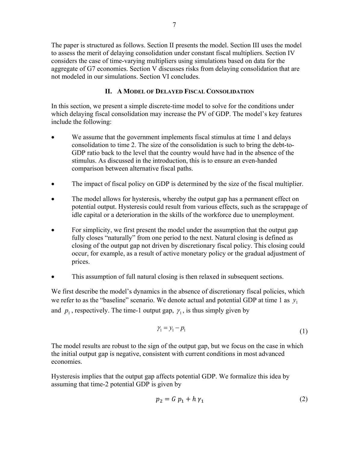The paper is structured as follows. Section II presents the model. Section III uses the model to assess the merit of delaying consolidation under constant fiscal multipliers. Section IV considers the case of time-varying multipliers using simulations based on data for the aggregate of G7 economies. Section V discusses risks from delaying consolidation that are not modeled in our simulations. Section VI concludes.

### **II. A MODEL OF DELAYED FISCAL CONSOLIDATION**

In this section, we present a simple discrete-time model to solve for the conditions under which delaying fiscal consolidation may increase the PV of GDP. The model's key features include the following:

- We assume that the government implements fiscal stimulus at time 1 and delays consolidation to time 2. The size of the consolidation is such to bring the debt-to-GDP ratio back to the level that the country would have had in the absence of the stimulus. As discussed in the introduction, this is to ensure an even-handed comparison between alternative fiscal paths.
- The impact of fiscal policy on GDP is determined by the size of the fiscal multiplier.
- The model allows for hysteresis, whereby the output gap has a permanent effect on potential output. Hysteresis could result from various effects, such as the scrappage of idle capital or a deterioration in the skills of the workforce due to unemployment.
- For simplicity, we first present the model under the assumption that the output gap fully closes "naturally" from one period to the next. Natural closing is defined as closing of the output gap not driven by discretionary fiscal policy. This closing could occur, for example, as a result of active monetary policy or the gradual adjustment of prices.
- This assumption of full natural closing is then relaxed in subsequent sections.

We first describe the model's dynamics in the absence of discretionary fiscal policies, which we refer to as the "baseline" scenario. We denote actual and potential GDP at time 1 as  $y_1$ and  $p_1$ , respectively. The time-1 output gap,  $\gamma_1$ , is thus simply given by

$$
\gamma_1 = \gamma_1 - p_1 \tag{1}
$$

The model results are robust to the sign of the output gap, but we focus on the case in which the initial output gap is negative, consistent with current conditions in most advanced economies.

Hysteresis implies that the output gap affects potential GDP. We formalize this idea by assuming that time-2 potential GDP is given by

$$
p_2 = G p_1 + h \gamma_1 \tag{2}
$$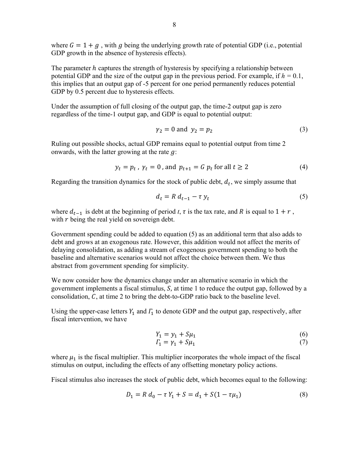where  $G = 1 + g$ , with q being the underlying growth rate of potential GDP (i.e., potential GDP growth in the absence of hysteresis effects).

The parameter  $h$  captures the strength of hysteresis by specifying a relationship between potential GDP and the size of the output gap in the previous period. For example, if  $h = 0.1$ , this implies that an output gap of -5 percent for one period permanently reduces potential GDP by 0.5 percent due to hysteresis effects.

Under the assumption of full closing of the output gap, the time-2 output gap is zero regardless of the time-1 output gap, and GDP is equal to potential output:

$$
\gamma_2 = 0 \text{ and } \gamma_2 = p_2 \tag{3}
$$

Ruling out possible shocks, actual GDP remains equal to potential output from time 2 onwards, with the latter growing at the rate  $q$ :

$$
y_t = p_t, \ \gamma_t = 0 \text{, and } p_{t+1} = G \ p_t \text{ for all } t \ge 2 \tag{4}
$$

Regarding the transition dynamics for the stock of public debt,  $d_t$ , we simply assume that

$$
d_t = R d_{t-1} - \tau y_t \tag{5}
$$

where  $d_{t-1}$  is debt at the beginning of period *t*,  $\tau$  is the tax rate, and *R* is equal to  $1 + r$ , with  $r$  being the real yield on sovereign debt.

Government spending could be added to equation (5) as an additional term that also adds to debt and grows at an exogenous rate. However, this addition would not affect the merits of delaying consolidation, as adding a stream of exogenous government spending to both the baseline and alternative scenarios would not affect the choice between them. We thus abstract from government spending for simplicity.

We now consider how the dynamics change under an alternative scenario in which the government implements a fiscal stimulus,  $S$ , at time 1 to reduce the output gap, followed by a consolidation,  $C$ , at time 2 to bring the debt-to-GDP ratio back to the baseline level.

Using the upper-case letters  $Y_1$  and  $\Gamma_1$  to denote GDP and the output gap, respectively, after fiscal intervention, we have

$$
Y_1 = y_1 + S\mu_1 \tag{6}
$$

$$
\Gamma_1 = \gamma_1 + S\mu_1 \tag{7}
$$

where  $\mu_1$  is the fiscal multiplier. This multiplier incorporates the whole impact of the fiscal stimulus on output, including the effects of any offsetting monetary policy actions.

Fiscal stimulus also increases the stock of public debt, which becomes equal to the following:

$$
D_1 = R d_0 - \tau Y_1 + S = d_1 + S(1 - \tau \mu_1)
$$
\n(8)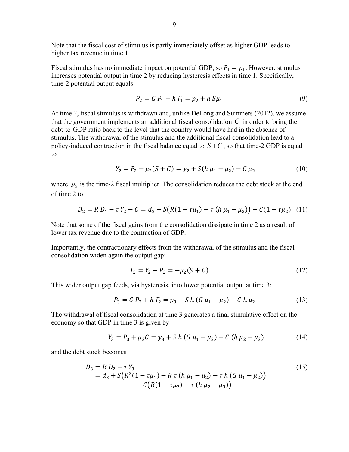Note that the fiscal cost of stimulus is partly immediately offset as higher GDP leads to higher tax revenue in time 1.

Fiscal stimulus has no immediate impact on potential GDP, so  $P_1 = p_1$ . However, stimulus increases potential output in time 2 by reducing hysteresis effects in time 1. Specifically, time-2 potential output equals

$$
P_2 = G P_1 + h \Gamma_1 = p_2 + h \, S \mu_1 \tag{9}
$$

At time 2, fiscal stimulus is withdrawn and, unlike DeLong and Summers (2012), we assume that the government implements an additional fiscal consolidation *C* in order to bring the debt-to-GDP ratio back to the level that the country would have had in the absence of stimulus. The withdrawal of the stimulus and the additional fiscal consolidation lead to a policy-induced contraction in the fiscal balance equal to  $S + C$ , so that time-2 GDP is equal to

$$
Y_2 = P_2 - \mu_2(S + C) = y_2 + S(h \mu_1 - \mu_2) - C \mu_2 \tag{10}
$$

where  $\mu_2$  is the time-2 fiscal multiplier. The consolidation reduces the debt stock at the end of time 2 to

$$
D_2 = R D_1 - \tau Y_2 - C = d_2 + S(R(1 - \tau \mu_1) - \tau (h \mu_1 - \mu_2)) - C(1 - \tau \mu_2)
$$
 (11)

Note that some of the fiscal gains from the consolidation dissipate in time 2 as a result of lower tax revenue due to the contraction of GDP.

Importantly, the contractionary effects from the withdrawal of the stimulus and the fiscal consolidation widen again the output gap:

$$
I_2 = Y_2 - P_2 = -\mu_2(S + C)
$$
 (12)

This wider output gap feeds, via hysteresis, into lower potential output at time 3:

$$
P_3 = G P_2 + h \Gamma_2 = p_3 + S h (G \mu_1 - \mu_2) - C h \mu_2 \tag{13}
$$

The withdrawal of fiscal consolidation at time 3 generates a final stimulative effect on the economy so that GDP in time 3 is given by

$$
Y_3 = P_3 + \mu_3 C = y_3 + S h (G \mu_1 - \mu_2) - C (h \mu_2 - \mu_3)
$$
 (14)

and the debt stock becomes

$$
D_3 = R D_2 - \tau Y_3
$$
  
= d<sub>3</sub> + S(R<sup>2</sup>(1 –  $\tau \mu_1$ ) – R  $\tau$  (h  $\mu_1$  –  $\mu_2$ ) –  $\tau$  h (G  $\mu_1$  –  $\mu_2$ ))  
- C(R(1 –  $\tau \mu_2$ ) –  $\tau$  (h  $\mu_2$  –  $\mu_3$ ))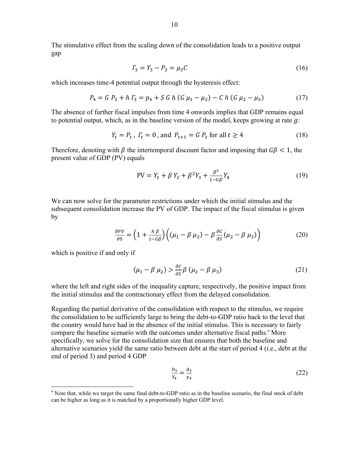The stimulative effect from the scaling down of the consolidation leads to a positive output gap

$$
\Gamma_3 = Y_3 - P_3 = \mu_3 C \tag{16}
$$

which increases time-4 potential output through the hysteresis effect:

$$
P_4 = G P_3 + h \Gamma_3 = p_4 + S G h (G \mu_1 - \mu_2) - C h (G \mu_2 - \mu_3)
$$
 (17)

The absence of further fiscal impulses from time 4 onwards implies that GDP remains equal to potential output, which, as in the baseline version of the model, keeps growing at rate  $q$ :

$$
Y_t = P_t, \quad T_t = 0 \quad \text{and} \quad P_{t+1} = G \quad P_t \text{ for all } t \ge 4 \tag{18}
$$

Therefore, denoting with  $\beta$  the intertemporal discount factor and imposing that  $G\beta < 1$ , the present value of GDP (PV) equals

$$
PV = Y_1 + \beta Y_2 + \beta^2 Y_3 + \frac{\beta^3}{1 - G\beta} Y_4
$$
 (19)

We can now solve for the parameter restrictions under which the initial stimulus and the subsequent consolidation increase the PV of GDP. The impact of the fiscal stimulus is given by

$$
\frac{\partial PV}{\partial S} = \left(1 + \frac{h\,\beta}{1 - G\beta}\right) \left( (\mu_1 - \beta\,\mu_2) - \beta\,\frac{\partial C}{\partial S}(\mu_2 - \beta\,\mu_3) \right) \tag{20}
$$

which is positive if and only if

 $\overline{a}$ 

$$
(\mu_1 - \beta \mu_2) > \frac{\partial c}{\partial s} \beta \left( \mu_2 - \beta \mu_3 \right) \tag{21}
$$

where the left and right sides of the inequality capture, respectively, the positive impact from the initial stimulus and the contractionary effect from the delayed consolidation.

Regarding the partial derivative of the consolidation with respect to the stimulus, we require the consolidation to be sufficiently large to bring the debt-to-GDP ratio back to the level that the country would have had in the absence of the initial stimulus. This is necessary to fairly compare the baseline scenario with the outcomes under alternative fiscal paths.<sup>6</sup> More specifically, we solve for the consolidation size that ensures that both the baseline and alternative scenarios yield the same ratio between debt at the start of period 4 (i.e., debt at the end of period 3) and period 4 GDP

$$
\frac{D_3}{Y_4} = \frac{d_3}{y_4} \tag{22}
$$

<sup>&</sup>lt;sup>6</sup> Note that, while we target the same final debt-to-GDP ratio as in the baseline scenario, the final stock of debt can be higher as long as it is matched by a proportionally higher GDP level.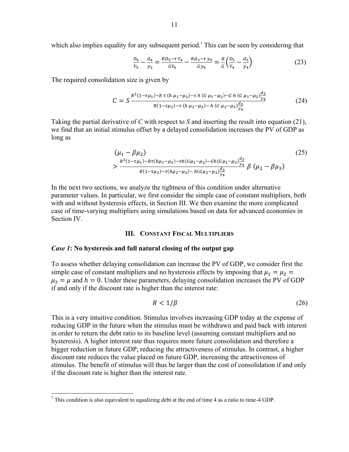$$
\frac{D_4}{Y_5} - \frac{d_4}{y_5} = \frac{R D_3 - \tau Y_4}{G Y_4} - \frac{R d_3 - \tau y_4}{G y_4} = \frac{R}{G} \left(\frac{D_3}{Y_4} - \frac{d_3}{y_4}\right)
$$
(23)

The required consolidation size is given by

$$
C = S \frac{R^2 (1 - \tau \mu_1) - R \tau (h \mu_1 - \mu_2) - \tau h (G \mu_1 - \mu_2) - G h (G \mu_1 - \mu_2) \frac{d_3}{y_4}}{R (1 - \tau \mu_2) - \tau (h \mu_2 - \mu_3) - h (G \mu_2 - \mu_3) \frac{d_3}{y_4}}
$$
(24)

Taking the partial derivative of *C* with respect to *S* and inserting the result into equation (21), we find that an initial stimulus offset by a delayed consolidation increases the PV of GDP as long as

$$
(\mu_1 - \beta \mu_2)
$$
\n
$$
>\frac{R^2(1 - \tau \mu_1) - R\tau(h\mu_1 - \mu_2) - \tau h(G\mu_1 - \mu_2) - Gh(G\mu_1 - \mu_2)\frac{d_3}{y_4}}{R(1 - \tau \mu_2) - \tau(h\mu_2 - \mu_3) - h(G\mu_2 - \mu_3)\frac{d_3}{y_4}} \beta(\mu_2 - \beta \mu_3)
$$
\n
$$
(25)
$$

In the next two sections, we analyze the tightness of this condition under alternative parameter values. In particular, we first consider the simple case of constant multipliers, both with and without hysteresis effects, in Section III. We then examine the more complicated case of time-varying multipliers using simulations based on data for advanced economies in Section IV.

#### **III. CONSTANT FISCAL MULTIPLIERS**

#### *Case 1***: No hysteresis and full natural closing of the output gap**

To assess whether delaying consolidation can increase the PV of GDP, we consider first the simple case of constant multipliers and no hysteresis effects by imposing that  $\mu_1 = \mu_2 =$  $\mu_3 = \mu$  and  $h = 0$ . Under these parameters, delaying consolidation increases the PV of GDP if and only if the discount rate is higher than the interest rate:

$$
R < 1/\beta \tag{26}
$$

This is a very intuitive condition. Stimulus involves increasing GDP today at the expense of reducing GDP in the future when the stimulus must be withdrawn and paid back with interest in order to return the debt ratio to its baseline level (assuming constant multipliers and no hysteresis). A higher interest rate thus requires more future consolidation and therefore a bigger reduction in future GDP, reducing the attractiveness of stimulus. In contrast, a higher discount rate reduces the value placed on future GDP, increasing the attractiveness of stimulus. The benefit of stimulus will thus be larger than the cost of consolidation if and only if the discount rate is higher than the interest rate.

 7 This condition is also equivalent to equalizing debt at the end of time 4 as a ratio to time-4 GDP.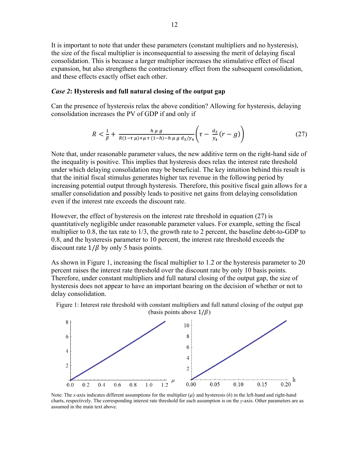It is important to note that under these parameters (constant multipliers and no hysteresis), the size of the fiscal multiplier is inconsequential to assessing the merit of delaying fiscal consolidation. This is because a larger multiplier increases the stimulative effect of fiscal expansion, but also strengthens the contractionary effect from the subsequent consolidation, and these effects exactly offset each other.

#### *Case 2***: Hysteresis and full natural closing of the output gap**

Can the presence of hysteresis relax the above condition? Allowing for hysteresis, delaying consolidation increases the PV of GDP if and only if

$$
R < \frac{1}{\beta} + \frac{h \mu g}{R(1 - \tau \mu) + \mu \tau (1 - h) - h \mu g \, d_3 / y_4} \left( \tau - \frac{d_3}{y_4} (r - g) \right) \tag{27}
$$

Note that, under reasonable parameter values, the new additive term on the right-hand side of the inequality is positive. This implies that hysteresis does relax the interest rate threshold under which delaying consolidation may be beneficial. The key intuition behind this result is that the initial fiscal stimulus generates higher tax revenue in the following period by increasing potential output through hysteresis. Therefore, this positive fiscal gain allows for a smaller consolidation and possibly leads to positive net gains from delaying consolidation even if the interest rate exceeds the discount rate.

However, the effect of hysteresis on the interest rate threshold in equation (27) is quantitatively negligible under reasonable parameter values. For example, setting the fiscal multiplier to 0.8, the tax rate to 1/3, the growth rate to 2 percent, the baseline debt-to-GDP to 0.8, and the hysteresis parameter to 10 percent, the interest rate threshold exceeds the discount rate  $1/\beta$  by only 5 basis points.

As shown in Figure 1, increasing the fiscal multiplier to 1.2 or the hysteresis parameter to 20 percent raises the interest rate threshold over the discount rate by only 10 basis points. Therefore, under constant multipliers and full natural closing of the output gap, the size of hysteresis does not appear to have an important bearing on the decision of whether or not to delay consolidation.



Figure 1: Interest rate threshold with constant multipliers and full natural closing of the output gap (basis points above  $1/\beta$ )

Note: The *x*-axis indicates different assumptions for the multiplier  $(\mu)$  and hysteresis  $(h)$  in the left-hand and right-hand charts, respectively. The corresponding interest rate threshold for each assumption is on the *y*-axis. Other parameters are as assumed in the main text above.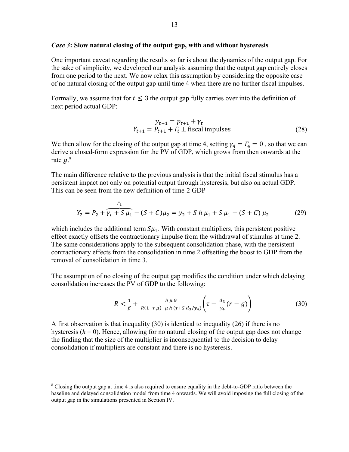#### *Case 3***: Slow natural closing of the output gap, with and without hysteresis**

One important caveat regarding the results so far is about the dynamics of the output gap. For the sake of simplicity, we developed our analysis assuming that the output gap entirely closes from one period to the next. We now relax this assumption by considering the opposite case of no natural closing of the output gap until time 4 when there are no further fiscal impulses.

Formally, we assume that for  $t \leq 3$  the output gap fully carries over into the definition of next period actual GDP:

$$
y_{t+1} = p_{t+1} + \gamma_t
$$
  

$$
Y_{t+1} = P_{t+1} + \Gamma_t \pm \text{fiscal impulses}
$$
 (28)

We then allow for the closing of the output gap at time 4, setting  $\gamma_4 = \Gamma_4 = 0$ , so that we can derive a closed-form expression for the PV of GDP, which grows from then onwards at the rate  $g$ . $^{8}$ 

The main difference relative to the previous analysis is that the initial fiscal stimulus has a persistent impact not only on potential output through hysteresis, but also on actual GDP. This can be seen from the new definition of time-2 GDP

$$
Y_2 = P_2 + \underbrace{r_1 \over r_1 + S \mu_1} - (S + C)\mu_2 = y_2 + S h \mu_1 + S \mu_1 - (S + C) \mu_2 \tag{29}
$$

which includes the additional term  $S\mu_1$ . With constant multipliers, this persistent positive effect exactly offsets the contractionary impulse from the withdrawal of stimulus at time 2. The same considerations apply to the subsequent consolidation phase, with the persistent contractionary effects from the consolidation in time 2 offsetting the boost to GDP from the removal of consolidation in time 3.

The assumption of no closing of the output gap modifies the condition under which delaying consolidation increases the PV of GDP to the following:

$$
R < \frac{1}{\beta} + \frac{h \mu G}{R(1 - \tau \mu) - \mu h ( \tau + G d_3 / y_4)} \left( \tau - \frac{d_3}{y_4} (r - g) \right) \tag{30}
$$

A first observation is that inequality (30) is identical to inequality (26) if there is no hysteresis  $(h = 0)$ . Hence, allowing for no natural closing of the output gap does not change the finding that the size of the multiplier is inconsequential to the decision to delay consolidation if multipliers are constant and there is no hysteresis.

<sup>&</sup>lt;sup>8</sup> Closing the output gap at time 4 is also required to ensure equality in the debt-to-GDP ratio between the baseline and delayed consolidation model from time 4 onwards. We will avoid imposing the full closing of the output gap in the simulations presented in Section IV.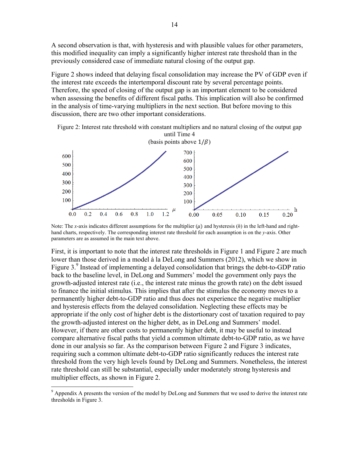A second observation is that, with hysteresis and with plausible values for other parameters, this modified inequality can imply a significantly higher interest rate threshold than in the previously considered case of immediate natural closing of the output gap.

Figure 2 shows indeed that delaying fiscal consolidation may increase the PV of GDP even if the interest rate exceeds the intertemporal discount rate by several percentage points. Therefore, the speed of closing of the output gap is an important element to be considered when assessing the benefits of different fiscal paths. This implication will also be confirmed in the analysis of time-varying multipliers in the next section. But before moving to this discussion, there are two other important considerations.





Note: The *x*-axis indicates different assumptions for the multiplier  $(\mu)$  and hysteresis  $(h)$  in the left-hand and righthand charts, respectively. The corresponding interest rate threshold for each assumption is on the *y*-axis. Other parameters are as assumed in the main text above.

First, it is important to note that the interest rate thresholds in Figure 1 and Figure 2 are much lower than those derived in a model à la DeLong and Summers (2012), which we show in Figure  $3.9$  Instead of implementing a delayed consolidation that brings the debt-to-GDP ratio back to the baseline level, in DeLong and Summers' model the government only pays the growth-adjusted interest rate (i.e., the interest rate minus the growth rate) on the debt issued to finance the initial stimulus. This implies that after the stimulus the economy moves to a permanently higher debt-to-GDP ratio and thus does not experience the negative multiplier and hysteresis effects from the delayed consolidation. Neglecting these effects may be appropriate if the only cost of higher debt is the distortionary cost of taxation required to pay the growth-adjusted interest on the higher debt, as in DeLong and Summers' model. However, if there are other costs to permanently higher debt, it may be useful to instead compare alternative fiscal paths that yield a common ultimate debt-to-GDP ratio, as we have done in our analysis so far. As the comparison between Figure 2 and Figure 3 indicates, requiring such a common ultimate debt-to-GDP ratio significantly reduces the interest rate threshold from the very high levels found by DeLong and Summers. Nonetheless, the interest rate threshold can still be substantial, especially under moderately strong hysteresis and multiplier effects, as shown in Figure 2.

<sup>&</sup>lt;sup>9</sup> Appendix A presents the version of the model by DeLong and Summers that we used to derive the interest rate thresholds in Figure 3.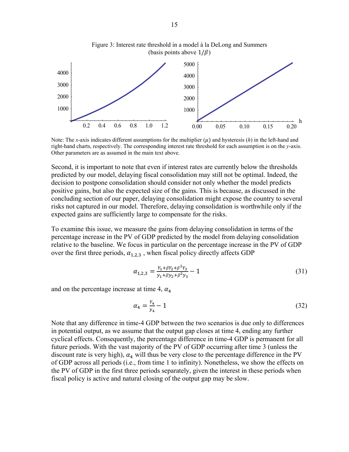

Note: The *x*-axis indicates different assumptions for the multiplier  $(\mu)$  and hysteresis  $(h)$  in the left-hand and right-hand charts, respectively. The corresponding interest rate threshold for each assumption is on the *y*-axis. Other parameters are as assumed in the main text above.

Second, it is important to note that even if interest rates are currently below the thresholds predicted by our model, delaying fiscal consolidation may still not be optimal. Indeed, the decision to postpone consolidation should consider not only whether the model predicts positive gains, but also the expected size of the gains. This is because, as discussed in the concluding section of our paper, delaying consolidation might expose the country to several risks not captured in our model. Therefore, delaying consolidation is worthwhile only if the expected gains are sufficiently large to compensate for the risks.

To examine this issue, we measure the gains from delaying consolidation in terms of the percentage increase in the PV of GDP predicted by the model from delaying consolidation relative to the baseline. We focus in particular on the percentage increase in the PV of GDP over the first three periods,  $\alpha_{1,2,3}$ , when fiscal policy directly affects GDP

$$
\alpha_{1,2,3} = \frac{Y_1 + \beta Y_2 + \beta^2 Y_3}{y_1 + \beta y_2 + \beta^2 y_3} - 1\tag{31}
$$

and on the percentage increase at time 4,  $\alpha_4$ 

$$
\alpha_4 = \frac{Y_4}{y_4} - 1\tag{32}
$$

Note that any difference in time-4 GDP between the two scenarios is due only to differences in potential output, as we assume that the output gap closes at time 4, ending any further cyclical effects. Consequently, the percentage difference in time-4 GDP is permanent for all future periods. With the vast majority of the PV of GDP occurring after time 3 (unless the discount rate is very high),  $\alpha_4$  will thus be very close to the percentage difference in the PV of GDP across all periods (i.e., from time 1 to infinity). Nonetheless, we show the effects on the PV of GDP in the first three periods separately, given the interest in these periods when fiscal policy is active and natural closing of the output gap may be slow.

Figure 3: Interest rate threshold in a model à la DeLong and Summers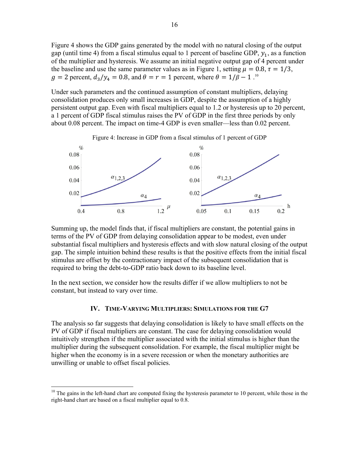Figure 4 shows the GDP gains generated by the model with no natural closing of the output gap (until time 4) from a fiscal stimulus equal to 1 percent of baseline GDP,  $y_1$ , as a function of the multiplier and hysteresis. We assume an initial negative output gap of 4 percent under the baseline and use the same parameter values as in Figure 1, setting  $\mu = 0.8$ ,  $\tau = 1/3$ ,  $g = 2$  percent,  $d_3/y_4 = 0.8$ , and  $\theta = r = 1$  percent, where  $\theta = 1/\beta - 1$ .<sup>10</sup>

Under such parameters and the continued assumption of constant multipliers, delaying consolidation produces only small increases in GDP, despite the assumption of a highly persistent output gap. Even with fiscal multipliers equal to 1.2 or hysteresis up to 20 percent, a 1 percent of GDP fiscal stimulus raises the PV of GDP in the first three periods by only about 0.08 percent. The impact on time-4 GDP is even smaller—less than 0.02 percent.



Summing up, the model finds that, if fiscal multipliers are constant, the potential gains in terms of the PV of GDP from delaying consolidation appear to be modest, even under substantial fiscal multipliers and hysteresis effects and with slow natural closing of the output gap. The simple intuition behind these results is that the positive effects from the initial fiscal stimulus are offset by the contractionary impact of the subsequent consolidation that is required to bring the debt-to-GDP ratio back down to its baseline level.

In the next section, we consider how the results differ if we allow multipliers to not be constant, but instead to vary over time.

#### **IV. TIME-VARYING MULTIPLIERS: SIMULATIONS FOR THE G7**

The analysis so far suggests that delaying consolidation is likely to have small effects on the PV of GDP if fiscal multipliers are constant. The case for delaying consolidation would intuitively strengthen if the multiplier associated with the initial stimulus is higher than the multiplier during the subsequent consolidation. For example, the fiscal multiplier might be higher when the economy is in a severe recession or when the monetary authorities are unwilling or unable to offset fiscal policies.

 $10$  The gains in the left-hand chart are computed fixing the hysteresis parameter to 10 percent, while those in the right-hand chart are based on a fiscal multiplier equal to 0.8.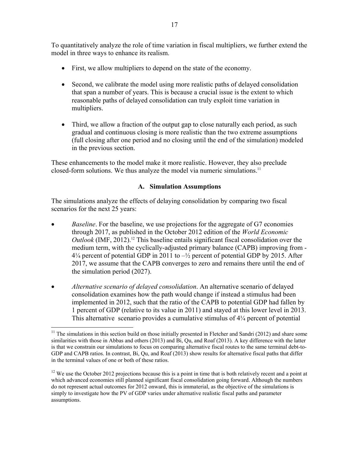To quantitatively analyze the role of time variation in fiscal multipliers, we further extend the model in three ways to enhance its realism.

- First, we allow multipliers to depend on the state of the economy.
- Second, we calibrate the model using more realistic paths of delayed consolidation that span a number of years. This is because a crucial issue is the extent to which reasonable paths of delayed consolidation can truly exploit time variation in multipliers.
- Third, we allow a fraction of the output gap to close naturally each period, as such gradual and continuous closing is more realistic than the two extreme assumptions (full closing after one period and no closing until the end of the simulation) modeled in the previous section.

These enhancements to the model make it more realistic. However, they also preclude closed-form solutions. We thus analyze the model via numeric simulations.<sup>11</sup>

## **A. Simulation Assumptions**

The simulations analyze the effects of delaying consolidation by comparing two fiscal scenarios for the next 25 years:

- *Baseline*. For the baseline, we use projections for the aggregate of G7 economies through 2017, as published in the October 2012 edition of the *World Economic Outlook* (IMF, 2012).<sup>12</sup> This baseline entails significant fiscal consolidation over the medium term, with the cyclically-adjusted primary balance (CAPB) improving from -  $4\frac{1}{4}$  percent of potential GDP in 2011 to  $-\frac{1}{2}$  percent of potential GDP by 2015. After 2017, we assume that the CAPB converges to zero and remains there until the end of the simulation period (2027).
- *Alternative scenario of delayed consolidation*. An alternative scenario of delayed consolidation examines how the path would change if instead a stimulus had been implemented in 2012, such that the ratio of the CAPB to potential GDP had fallen by 1 percent of GDP (relative to its value in 2011) and stayed at this lower level in 2013. This alternative scenario provides a cumulative stimulus of 4¼ percent of potential

 $11$  The simulations in this section build on those initially presented in Fletcher and Sandri (2012) and share some similarities with those in Abbas and others (2013) and Bi, Qu, and Roaf (2013). A key difference with the latter is that we constrain our simulations to focus on comparing alternative fiscal routes to the same terminal debt-to-GDP and CAPB ratios. In contrast, Bi, Qu, and Roaf (2013) show results for alternative fiscal paths that differ in the terminal values of one or both of these ratios.

 $12$  We use the October 2012 projections because this is a point in time that is both relatively recent and a point at which advanced economies still planned significant fiscal consolidation going forward. Although the numbers do not represent actual outcomes for 2012 onward, this is immaterial, as the objective of the simulations is simply to investigate how the PV of GDP varies under alternative realistic fiscal paths and parameter assumptions.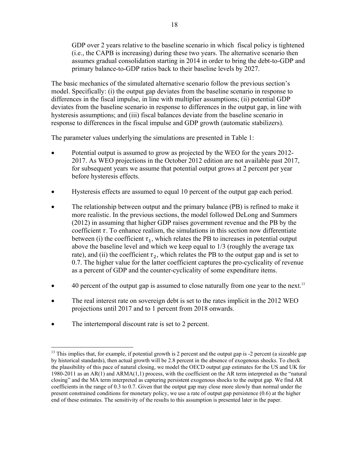GDP over 2 years relative to the baseline scenario in which fiscal policy is tightened (i.e., the CAPB is increasing) during these two years. The alternative scenario then assumes gradual consolidation starting in 2014 in order to bring the debt-to-GDP and primary balance-to-GDP ratios back to their baseline levels by 2027.

The basic mechanics of the simulated alternative scenario follow the previous section's model. Specifically: (i) the output gap deviates from the baseline scenario in response to differences in the fiscal impulse, in line with multiplier assumptions; (ii) potential GDP deviates from the baseline scenario in response to differences in the output gap, in line with hysteresis assumptions; and (iii) fiscal balances deviate from the baseline scenario in response to differences in the fiscal impulse and GDP growth (automatic stabilizers).

The parameter values underlying the simulations are presented in Table 1:

- Potential output is assumed to grow as projected by the WEO for the years 2012- 2017. As WEO projections in the October 2012 edition are not available past 2017, for subsequent years we assume that potential output grows at 2 percent per year before hysteresis effects.
- Hysteresis effects are assumed to equal 10 percent of the output gap each period.
- The relationship between output and the primary balance (PB) is refined to make it more realistic. In the previous sections, the model followed DeLong and Summers (2012) in assuming that higher GDP raises government revenue and the PB by the coefficient  $\tau$ . To enhance realism, the simulations in this section now differentiate between (i) the coefficient  $\tau_1$ , which relates the PB to increases in potential output above the baseline level and which we keep equal to 1/3 (roughly the average tax rate), and (ii) the coefficient  $\tau_2$ , which relates the PB to the output gap and is set to 0.7. The higher value for the latter coefficient captures the pro-cyclicality of revenue as a percent of GDP and the counter-cyclicality of some expenditure items.
- 40 percent of the output gap is assumed to close naturally from one year to the next.<sup>13</sup>
- The real interest rate on sovereign debt is set to the rates implicit in the 2012 WEO projections until 2017 and to 1 percent from 2018 onwards.
- The intertemporal discount rate is set to 2 percent.

<sup>1</sup>  $13$  This implies that, for example, if potential growth is 2 percent and the output gap is  $-2$  percent (a sizeable gap by historical standards), then actual growth will be 2.8 percent in the absence of exogenous shocks. To check the plausibility of this pace of natural closing, we model the OECD output gap estimates for the US and UK for 1980-2011 as an AR(1) and ARMA(1,1) process, with the coefficient on the AR term interpreted as the "natural closing" and the MA term interpreted as capturing persistent exogenous shocks to the output gap. We find AR coefficients in the range of 0.3 to 0.7. Given that the output gap may close more slowly than normal under the present constrained conditions for monetary policy, we use a rate of output gap persistence (0.6) at the higher end of these estimates. The sensitivity of the results to this assumption is presented later in the paper.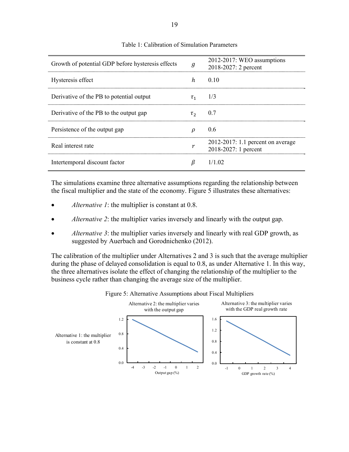| Growth of potential GDP before hysteresis effects | g          | 2012-2017: WEO assumptions<br>2018-2027: 2 percent        |
|---------------------------------------------------|------------|-----------------------------------------------------------|
| Hysteresis effect                                 | h          | 0.10                                                      |
| Derivative of the PB to potential output          | $\tau_{1}$ | 1/3                                                       |
| Derivative of the PB to the output gap            | $\tau_{2}$ | 0.7                                                       |
| Persistence of the output gap                     | ρ          | 0.6                                                       |
| Real interest rate                                |            | 2012-2017: 1.1 percent on average<br>2018-2027: 1 percent |
| Intertemporal discount factor                     | ß          | $1/1$ 02                                                  |

#### Table 1: Calibration of Simulation Parameters

The simulations examine three alternative assumptions regarding the relationship between the fiscal multiplier and the state of the economy. Figure 5 illustrates these alternatives:

- *Alternative 1*: the multiplier is constant at 0.8.
- *Alternative 2*: the multiplier varies inversely and linearly with the output gap.
- *Alternative 3*: the multiplier varies inversely and linearly with real GDP growth, as suggested by Auerbach and Gorodnichenko (2012).

The calibration of the multiplier under Alternatives 2 and 3 is such that the average multiplier during the phase of delayed consolidation is equal to 0.8, as under Alternative 1. In this way, the three alternatives isolate the effect of changing the relationship of the multiplier to the business cycle rather than changing the average size of the multiplier.



Figure 5: Alternative Assumptions about Fiscal Multipliers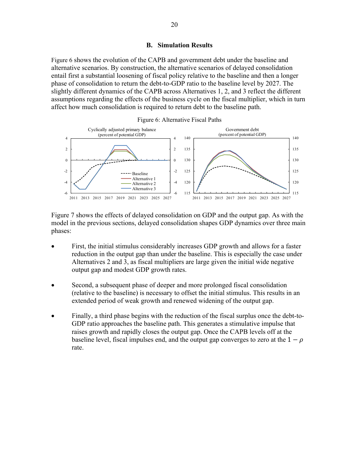#### **B. Simulation Results**

Figure 6 shows the evolution of the CAPB and government debt under the baseline and alternative scenarios. By construction, the alternative scenarios of delayed consolidation entail first a substantial loosening of fiscal policy relative to the baseline and then a longer phase of consolidation to return the debt-to-GDP ratio to the baseline level by 2027. The slightly different dynamics of the CAPB across Alternatives 1, 2, and 3 reflect the different assumptions regarding the effects of the business cycle on the fiscal multiplier, which in turn affect how much consolidation is required to return debt to the baseline path.





Figure 7 shows the effects of delayed consolidation on GDP and the output gap. As with the model in the previous sections, delayed consolidation shapes GDP dynamics over three main phases:

- First, the initial stimulus considerably increases GDP growth and allows for a faster reduction in the output gap than under the baseline. This is especially the case under Alternatives 2 and 3, as fiscal multipliers are large given the initial wide negative output gap and modest GDP growth rates.
- Second, a subsequent phase of deeper and more prolonged fiscal consolidation (relative to the baseline) is necessary to offset the initial stimulus. This results in an extended period of weak growth and renewed widening of the output gap.
- Finally, a third phase begins with the reduction of the fiscal surplus once the debt-to-GDP ratio approaches the baseline path. This generates a stimulative impulse that raises growth and rapidly closes the output gap. Once the CAPB levels off at the baseline level, fiscal impulses end, and the output gap converges to zero at the  $1-\rho$ rate.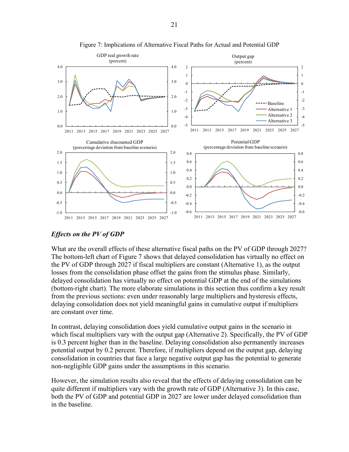

Figure 7: Implications of Alternative Fiscal Paths for Actual and Potential GDP

## *Effects on the PV of GDP*

What are the overall effects of these alternative fiscal paths on the PV of GDP through 2027? The bottom-left chart of Figure 7 shows that delayed consolidation has virtually no effect on the PV of GDP through 2027 if fiscal multipliers are constant (Alternative 1), as the output losses from the consolidation phase offset the gains from the stimulus phase. Similarly, delayed consolidation has virtually no effect on potential GDP at the end of the simulations (bottom-right chart). The more elaborate simulations in this section thus confirm a key result from the previous sections: even under reasonably large multipliers and hysteresis effects, delaying consolidation does not yield meaningful gains in cumulative output if multipliers are constant over time.

In contrast, delaying consolidation does yield cumulative output gains in the scenario in which fiscal multipliers vary with the output gap (Alternative 2). Specifically, the PV of GDP is 0.3 percent higher than in the baseline. Delaying consolidation also permanently increases potential output by 0.2 percent. Therefore, if multipliers depend on the output gap, delaying consolidation in countries that face a large negative output gap has the potential to generate non-negligible GDP gains under the assumptions in this scenario.

However, the simulation results also reveal that the effects of delaying consolidation can be quite different if multipliers vary with the growth rate of GDP (Alternative 3). In this case, both the PV of GDP and potential GDP in 2027 are lower under delayed consolidation than in the baseline.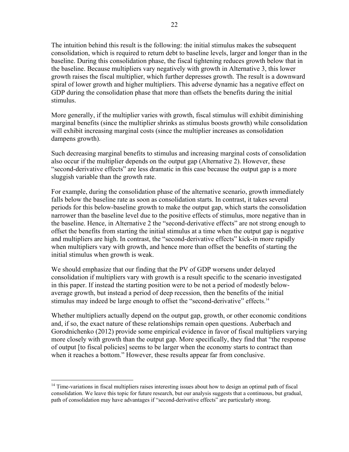The intuition behind this result is the following: the initial stimulus makes the subsequent consolidation, which is required to return debt to baseline levels, larger and longer than in the baseline. During this consolidation phase, the fiscal tightening reduces growth below that in the baseline. Because multipliers vary negatively with growth in Alternative 3, this lower growth raises the fiscal multiplier, which further depresses growth. The result is a downward spiral of lower growth and higher multipliers. This adverse dynamic has a negative effect on GDP during the consolidation phase that more than offsets the benefits during the initial stimulus.

More generally, if the multiplier varies with growth, fiscal stimulus will exhibit diminishing marginal benefits (since the multiplier shrinks as stimulus boosts growth) while consolidation will exhibit increasing marginal costs (since the multiplier increases as consolidation dampens growth).

Such decreasing marginal benefits to stimulus and increasing marginal costs of consolidation also occur if the multiplier depends on the output gap (Alternative 2). However, these "second-derivative effects" are less dramatic in this case because the output gap is a more sluggish variable than the growth rate.

For example, during the consolidation phase of the alternative scenario, growth immediately falls below the baseline rate as soon as consolidation starts. In contrast, it takes several periods for this below-baseline growth to make the output gap, which starts the consolidation narrower than the baseline level due to the positive effects of stimulus, more negative than in the baseline. Hence, in Alternative 2 the "second-derivative effects" are not strong enough to offset the benefits from starting the initial stimulus at a time when the output gap is negative and multipliers are high. In contrast, the "second-derivative effects" kick-in more rapidly when multipliers vary with growth, and hence more than offset the benefits of starting the initial stimulus when growth is weak.

We should emphasize that our finding that the PV of GDP worsens under delayed consolidation if multipliers vary with growth is a result specific to the scenario investigated in this paper. If instead the starting position were to be not a period of modestly belowaverage growth, but instead a period of deep recession, then the benefits of the initial stimulus may indeed be large enough to offset the "second-derivative" effects.<sup>14</sup>

Whether multipliers actually depend on the output gap, growth, or other economic conditions and, if so, the exact nature of these relationships remain open questions. Auberbach and Gorodnichenko (2012) provide some empirical evidence in favor of fiscal multipliers varying more closely with growth than the output gap. More specifically, they find that "the response of output [to fiscal policies] seems to be larger when the economy starts to contract than when it reaches a bottom." However, these results appear far from conclusive.

 $14$  Time-variations in fiscal multipliers raises interesting issues about how to design an optimal path of fiscal consolidation. We leave this topic for future research, but our analysis suggests that a continuous, but gradual, path of consolidation may have advantages if "second-derivative effects" are particularly strong.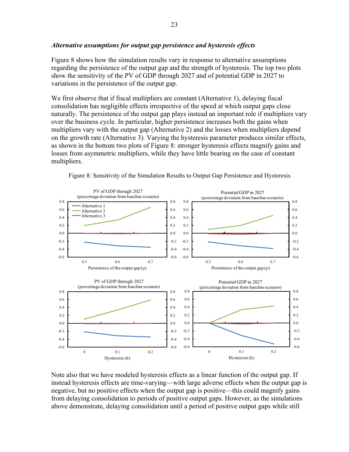## *Alternative assumptions for output gap persistence and hysteresis effects*

Figure 8 shows how the simulation results vary in response to alternative assumptions regarding the persistence of the output gap and the strength of hysteresis. The top two plots show the sensitivity of the PV of GDP through 2027 and of potential GDP in 2027 to variations in the persistence of the output gap.

We first observe that if fiscal multipliers are constant (Alternative 1), delaying fiscal consolidation has negligible effects irrespective of the speed at which output gaps close naturally. The persistence of the output gap plays instead an important role if multipliers vary over the business cycle. In particular, higher persistence increases both the gains when multipliers vary with the output gap (Alternative 2) and the losses when multipliers depend on the growth rate (Alternative 3). Varying the hysteresis parameter produces similar effects, as shown in the bottom two plots of Figure 8: stronger hysteresis effects magnify gains and losses from asymmetric multipliers, while they have little bearing on the case of constant multipliers.



Figure 8: Sensitivity of the Simulation Results to Output Gap Persistence and Hysteresis

Note also that we have modeled hysteresis effects as a linear function of the output gap. If instead hysteresis effects are time-varying—with large adverse effects when the output gap is negative, but no positive effects when the output gap is positive—this could magnify gains from delaying consolidation to periods of positive output gaps. However, as the simulations above demonstrate, delaying consolidation until a period of positive output gaps while still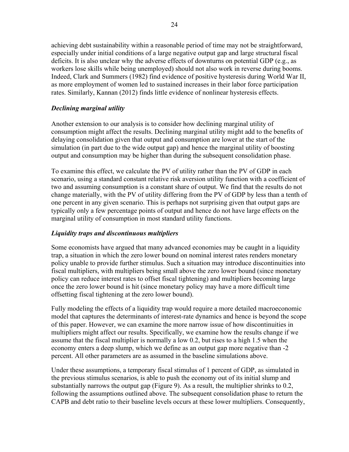achieving debt sustainability within a reasonable period of time may not be straightforward, especially under initial conditions of a large negative output gap and large structural fiscal deficits. It is also unclear why the adverse effects of downturns on potential GDP (e.g., as workers lose skills while being unemployed) should not also work in reverse during booms. Indeed, Clark and Summers (1982) find evidence of positive hysteresis during World War II, as more employment of women led to sustained increases in their labor force participation rates. Similarly, Kannan (2012) finds little evidence of nonlinear hysteresis effects.

## *Declining marginal utility*

Another extension to our analysis is to consider how declining marginal utility of consumption might affect the results. Declining marginal utility might add to the benefits of delaying consolidation given that output and consumption are lower at the start of the simulation (in part due to the wide output gap) and hence the marginal utility of boosting output and consumption may be higher than during the subsequent consolidation phase.

To examine this effect, we calculate the PV of utility rather than the PV of GDP in each scenario, using a standard constant relative risk aversion utility function with a coefficient of two and assuming consumption is a constant share of output. We find that the results do not change materially, with the PV of utility differing from the PV of GDP by less than a tenth of one percent in any given scenario. This is perhaps not surprising given that output gaps are typically only a few percentage points of output and hence do not have large effects on the marginal utility of consumption in most standard utility functions.

## *Liquidity traps and discontinuous multipliers*

Some economists have argued that many advanced economies may be caught in a liquidity trap, a situation in which the zero lower bound on nominal interest rates renders monetary policy unable to provide further stimulus. Such a situation may introduce discontinuities into fiscal multipliers, with multipliers being small above the zero lower bound (since monetary policy can reduce interest rates to offset fiscal tightening) and multipliers becoming large once the zero lower bound is hit (since monetary policy may have a more difficult time offsetting fiscal tightening at the zero lower bound).

Fully modeling the effects of a liquidity trap would require a more detailed macroeconomic model that captures the determinants of interest-rate dynamics and hence is beyond the scope of this paper. However, we can examine the more narrow issue of how discontinuities in multipliers might affect our results. Specifically, we examine how the results change if we assume that the fiscal multiplier is normally a low 0.2, but rises to a high 1.5 when the economy enters a deep slump, which we define as an output gap more negative than -2 percent. All other parameters are as assumed in the baseline simulations above.

Under these assumptions, a temporary fiscal stimulus of 1 percent of GDP, as simulated in the previous stimulus scenarios, is able to push the economy out of its initial slump and substantially narrows the output gap (Figure 9). As a result, the multiplier shrinks to 0.2, following the assumptions outlined above. The subsequent consolidation phase to return the CAPB and debt ratio to their baseline levels occurs at these lower multipliers. Consequently,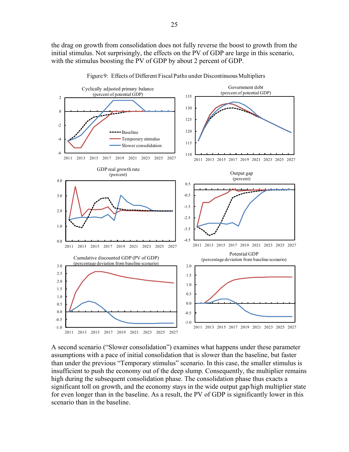the drag on growth from consolidation does not fully reverse the boost to growth from the initial stimulus. Not surprisingly, the effects on the PV of GDP are large in this scenario, with the stimulus boosting the PV of GDP by about 2 percent of GDP.



Figure 9: Effects of Different Fiscal Paths under Discontinuous Multipliers

A second scenario ("Slower consolidation") examines what happens under these parameter assumptions with a pace of initial consolidation that is slower than the baseline, but faster than under the previous "Temporary stimulus" scenario. In this case, the smaller stimulus is insufficient to push the economy out of the deep slump. Consequently, the multiplier remains high during the subsequent consolidation phase. The consolidation phase thus exacts a significant toll on growth, and the economy stays in the wide output gap/high multiplier state for even longer than in the baseline. As a result, the PV of GDP is significantly lower in this scenario than in the baseline.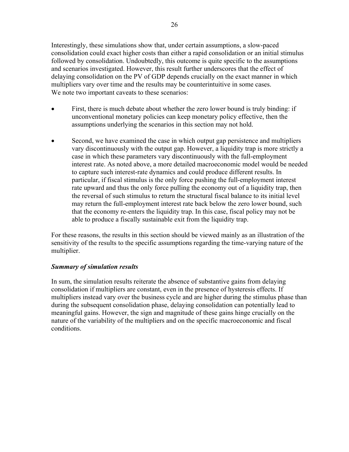Interestingly, these simulations show that, under certain assumptions, a slow-paced consolidation could exact higher costs than either a rapid consolidation or an initial stimulus followed by consolidation. Undoubtedly, this outcome is quite specific to the assumptions and scenarios investigated. However, this result further underscores that the effect of delaying consolidation on the PV of GDP depends crucially on the exact manner in which multipliers vary over time and the results may be counterintuitive in some cases. We note two important caveats to these scenarios:

- First, there is much debate about whether the zero lower bound is truly binding: if unconventional monetary policies can keep monetary policy effective, then the assumptions underlying the scenarios in this section may not hold.
- Second, we have examined the case in which output gap persistence and multipliers vary discontinuously with the output gap. However, a liquidity trap is more strictly a case in which these parameters vary discontinuously with the full-employment interest rate. As noted above, a more detailed macroeconomic model would be needed to capture such interest-rate dynamics and could produce different results. In particular, if fiscal stimulus is the only force pushing the full-employment interest rate upward and thus the only force pulling the economy out of a liquidity trap, then the reversal of such stimulus to return the structural fiscal balance to its initial level may return the full-employment interest rate back below the zero lower bound, such that the economy re-enters the liquidity trap. In this case, fiscal policy may not be able to produce a fiscally sustainable exit from the liquidity trap.

For these reasons, the results in this section should be viewed mainly as an illustration of the sensitivity of the results to the specific assumptions regarding the time-varying nature of the multiplier.

#### *Summary of simulation results*

In sum, the simulation results reiterate the absence of substantive gains from delaying consolidation if multipliers are constant, even in the presence of hysteresis effects. If multipliers instead vary over the business cycle and are higher during the stimulus phase than during the subsequent consolidation phase, delaying consolidation can potentially lead to meaningful gains. However, the sign and magnitude of these gains hinge crucially on the nature of the variability of the multipliers and on the specific macroeconomic and fiscal conditions.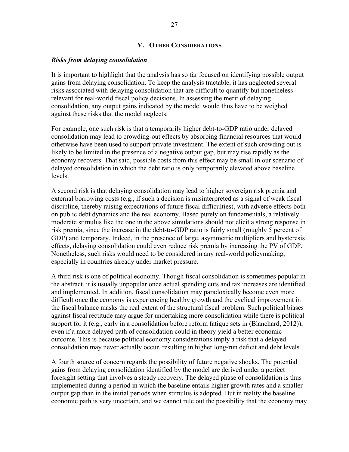#### **V. OTHER CONSIDERATIONS**

#### *Risks from delaying consolidation*

It is important to highlight that the analysis has so far focused on identifying possible output gains from delaying consolidation. To keep the analysis tractable, it has neglected several risks associated with delaying consolidation that are difficult to quantify but nonetheless relevant for real-world fiscal policy decisions. In assessing the merit of delaying consolidation, any output gains indicated by the model would thus have to be weighed against these risks that the model neglects.

For example, one such risk is that a temporarily higher debt-to-GDP ratio under delayed consolidation may lead to crowding-out effects by absorbing financial resources that would otherwise have been used to support private investment. The extent of such crowding out is likely to be limited in the presence of a negative output gap, but may rise rapidly as the economy recovers. That said, possible costs from this effect may be small in our scenario of delayed consolidation in which the debt ratio is only temporarily elevated above baseline levels.

A second risk is that delaying consolidation may lead to higher sovereign risk premia and external borrowing costs (e.g., if such a decision is misinterpreted as a signal of weak fiscal discipline, thereby raising expectations of future fiscal difficulties), with adverse effects both on public debt dynamics and the real economy. Based purely on fundamentals, a relatively moderate stimulus like the one in the above simulations should not elicit a strong response in risk premia, since the increase in the debt-to-GDP ratio is fairly small (roughly 5 percent of GDP) and temporary. Indeed, in the presence of large, asymmetric multipliers and hysteresis effects, delaying consolidation could even reduce risk premia by increasing the PV of GDP. Nonetheless, such risks would need to be considered in any real-world policymaking, especially in countries already under market pressure.

A third risk is one of political economy. Though fiscal consolidation is sometimes popular in the abstract, it is usually unpopular once actual spending cuts and tax increases are identified and implemented. In addition, fiscal consolidation may paradoxically become even more difficult once the economy is experiencing healthy growth and the cyclical improvement in the fiscal balance masks the real extent of the structural fiscal problem. Such political biases against fiscal rectitude may argue for undertaking more consolidation while there is political support for it (e.g., early in a consolidation before reform fatigue sets in (Blanchard, 2012)), even if a more delayed path of consolidation could in theory yield a better economic outcome. This is because political economy considerations imply a risk that a delayed consolidation may never actually occur, resulting in higher long-run deficit and debt levels.

A fourth source of concern regards the possibility of future negative shocks. The potential gains from delaying consolidation identified by the model are derived under a perfect foresight setting that involves a steady recovery. The delayed phase of consolidation is thus implemented during a period in which the baseline entails higher growth rates and a smaller output gap than in the initial periods when stimulus is adopted. But in reality the baseline economic path is very uncertain, and we cannot rule out the possibility that the economy may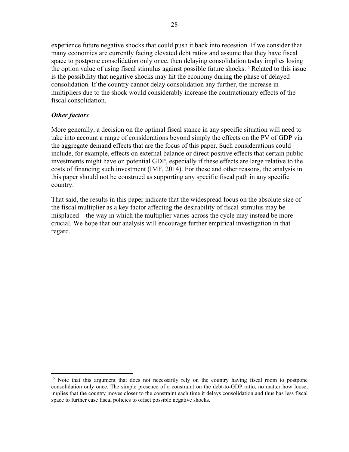experience future negative shocks that could push it back into recession. If we consider that many economies are currently facing elevated debt ratios and assume that they have fiscal space to postpone consolidation only once, then delaying consolidation today implies losing the option value of using fiscal stimulus against possible future shocks.<sup>15</sup> Related to this issue is the possibility that negative shocks may hit the economy during the phase of delayed consolidation. If the country cannot delay consolidation any further, the increase in multipliers due to the shock would considerably increase the contractionary effects of the fiscal consolidation.

## *Other factors*

 $\overline{a}$ 

More generally, a decision on the optimal fiscal stance in any specific situation will need to take into account a range of considerations beyond simply the effects on the PV of GDP via the aggregate demand effects that are the focus of this paper. Such considerations could include, for example, effects on external balance or direct positive effects that certain public investments might have on potential GDP, especially if these effects are large relative to the costs of financing such investment (IMF, 2014). For these and other reasons, the analysis in this paper should not be construed as supporting any specific fiscal path in any specific country.

That said, the results in this paper indicate that the widespread focus on the absolute size of the fiscal multiplier as a key factor affecting the desirability of fiscal stimulus may be misplaced—the way in which the multiplier varies across the cycle may instead be more crucial. We hope that our analysis will encourage further empirical investigation in that regard.

<sup>&</sup>lt;sup>15</sup> Note that this argument that does not necessarily rely on the country having fiscal room to postpone consolidation only once. The simple presence of a constraint on the debt-to-GDP ratio, no matter how loose, implies that the country moves closer to the constraint each time it delays consolidation and thus has less fiscal space to further ease fiscal policies to offset possible negative shocks.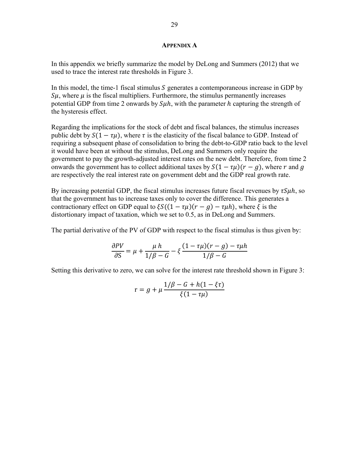#### **APPENDIX A**

In this appendix we briefly summarize the model by DeLong and Summers (2012) that we used to trace the interest rate thresholds in Figure 3.

In this model, the time-1 fiscal stimulus  $S$  generates a contemporaneous increase in GDP by  $\mathcal{S}\mu$ , where  $\mu$  is the fiscal multipliers. Furthermore, the stimulus permanently increases potential GDP from time 2 onwards by  $S\mu h$ , with the parameter h capturing the strength of the hysteresis effect.

Regarding the implications for the stock of debt and fiscal balances, the stimulus increases public debt by  $S(1 - \tau \mu)$ , where  $\tau$  is the elasticity of the fiscal balance to GDP. Instead of requiring a subsequent phase of consolidation to bring the debt-to-GDP ratio back to the level it would have been at without the stimulus, DeLong and Summers only require the government to pay the growth-adjusted interest rates on the new debt. Therefore, from time 2 onwards the government has to collect additional taxes by  $S(1 - \tau \mu)(r - q)$ , where r and q are respectively the real interest rate on government debt and the GDP real growth rate.

By increasing potential GDP, the fiscal stimulus increases future fiscal revenues by  $\tau S \mu h$ , so that the government has to increase taxes only to cover the difference. This generates a contractionary effect on GDP equal to  $\xi S((1 - \tau \mu)(r - g) - \tau \mu h)$ , where  $\xi$  is the distortionary impact of taxation, which we set to 0.5, as in DeLong and Summers.

The partial derivative of the PV of GDP with respect to the fiscal stimulus is thus given by:

$$
\frac{\partial PV}{\partial S} = \mu + \frac{\mu h}{1/\beta - G} - \xi \frac{(1 - \tau \mu)(r - g) - \tau \mu h}{1/\beta - G}
$$

Setting this derivative to zero, we can solve for the interest rate threshold shown in Figure 3:

$$
r = g + \mu \frac{1/\beta - G + h(1 - \xi \tau)}{\xi(1 - \tau \mu)}
$$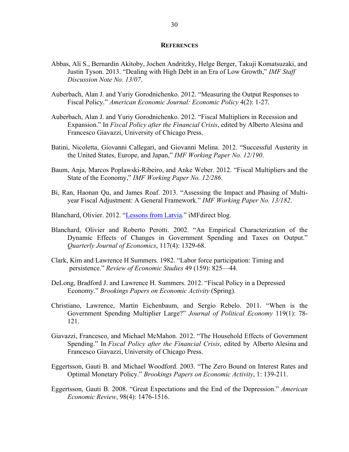#### **REFERENCES**

- Abbas, Ali S., Bernardin Akitoby, Jochen Andritzky, Helge Berger, Takuji Komatsuzaki, and Justin Tyson. 2013. "Dealing with High Debt in an Era of Low Growth," *IMF Staff Discussion Note No. 13/07*.
- Auberbach, Alan J. and Yuriy Gorodnichenko. 2012. "Measuring the Output Responses to Fiscal Policy." *American Economic Journal: Economic Policy* 4(2): 1-27.
- Auberbach, Alan J. and Yuriy Gorodnichenko. 2012. "Fiscal Multipliers in Recession and Expansion." In *Fiscal Policy after the Financial Crisis*, edited by Alberto Alesina and Francesco Giavazzi, University of Chicago Press.
- Batini, Nicoletta, Giovanni Callegari, and Giovanni Melina. 2012. "Successful Austerity in the United States, Europe, and Japan," *IMF Working Paper No. 12/190*.
- Baum, Anja, Marcos Poplawski-Ribeiro, and Anke Weber. 2012. "Fiscal Multipliers and the State of the Economy," *IMF Working Paper No. 12/286*.
- Bi, Ran, Haonan Qu, and James Roaf. 2013. "Assessing the Impact and Phasing of Multiyear Fiscal Adjustment: A General Framework." *IMF Working Paper No. 13/182*.
- Blanchard, Olivier. 2012. "Lessons from Latvia." iMFdirect blog.
- Blanchard, Olivier and Roberto Perotti. 2002. "An Empirical Characterization of the Dynamic Effects of Changes in Government Spending and Taxes on Output." *Quarterly Journal of Economics*, 117(4): 1329-68.
- Clark, Kim and Lawrence H Summers. 1982. "Labor force participation: Timing and persistence." *Review of Economic Studies* 49 (159): 825—44.
- DeLong, Bradford J. and Lawrence H. Summers. 2012. "Fiscal Policy in a Depressed Economy." *Brookings Papers on Economic Activity* (Spring).
- Christiano, Lawrence, Martin Eichenbaum, and Sergio Rebelo. 2011. "When is the Government Spending Multiplier Large?" *Journal of Political Economy* 119(1): 78- 121.
- Giavazzi, Francesco, and Michael McMahon. 2012. "The Household Effects of Government Spending." In *Fiscal Policy after the Financial Crisis*, edited by Alberto Alesina and Francesco Giavazzi, University of Chicago Press.
- Eggertsson, Gauti B. and Michael Woodford. 2003. "The Zero Bound on Interest Rates and Optimal Monetary Policy." *Brookings Papers on Economic Activity*, 1: 139-211.
- Eggertsson, Gauti B. 2008. "Great Expectations and the End of the Depression." *American Economic Review*, 98(4): 1476-1516.